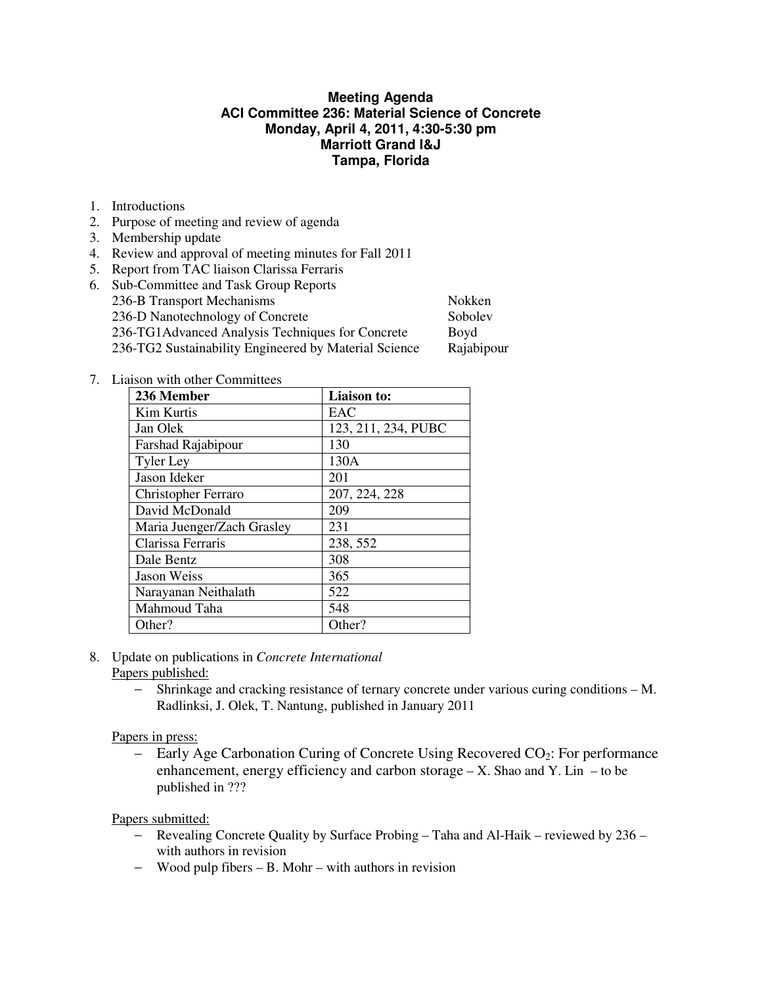## **Meeting Agenda ACI Committee 236: Material Science of Concrete Monday, April 4, 2011, 4:30-5:30 pm Marriott Grand I&J Tampa, Florida**

- 1. Introductions
- 2. Purpose of meeting and review of agenda
- 3. Membership update
- 4. Review and approval of meeting minutes for Fall 2011
- 5. Report from TAC liaison Clarissa Ferraris

| 6. Sub-Committee and Task Group Reports               |            |
|-------------------------------------------------------|------------|
| 236-B Transport Mechanisms                            | Nokken     |
| 236-D Nanotechnology of Concrete                      | Sobolev    |
| 236-TG1Advanced Analysis Techniques for Concrete      | Boyd       |
| 236-TG2 Sustainability Engineered by Material Science | Rajabipour |
|                                                       |            |

7. Liaison with other Committees

| 236 Member                 | Liaison to:         |
|----------------------------|---------------------|
| Kim Kurtis                 | EAC                 |
| Jan Olek                   | 123, 211, 234, PUBC |
| Farshad Rajabipour         | 130                 |
| <b>Tyler Ley</b>           | 130A                |
| Jason Ideker               | 201                 |
| Christopher Ferraro        | 207, 224, 228       |
| David McDonald             | 209                 |
| Maria Juenger/Zach Grasley | 231                 |
| Clarissa Ferraris          | 238, 552            |
| Dale Bentz                 | 308                 |
| Jason Weiss                | 365                 |
| Narayanan Neithalath       | 522                 |
| Mahmoud Taha               | 548                 |
| Other?                     | Other?              |

- 8. Update on publications in *Concrete International*
	- Papers published:
		- − Shrinkage and cracking resistance of ternary concrete under various curing conditions M. Radlinksi, J. Olek, T. Nantung, published in January 2011

## Papers in press:

− Early Age Carbonation Curing of Concrete Using Recovered CO2: For performance enhancement, energy efficiency and carbon storage  $- X$ . Shao and Y. Lin  $-$  to be published in ???

Papers submitted:

- − Revealing Concrete Quality by Surface Probing Taha and Al-Haik reviewed by 236 with authors in revision
- − Wood pulp fibers B. Mohr with authors in revision